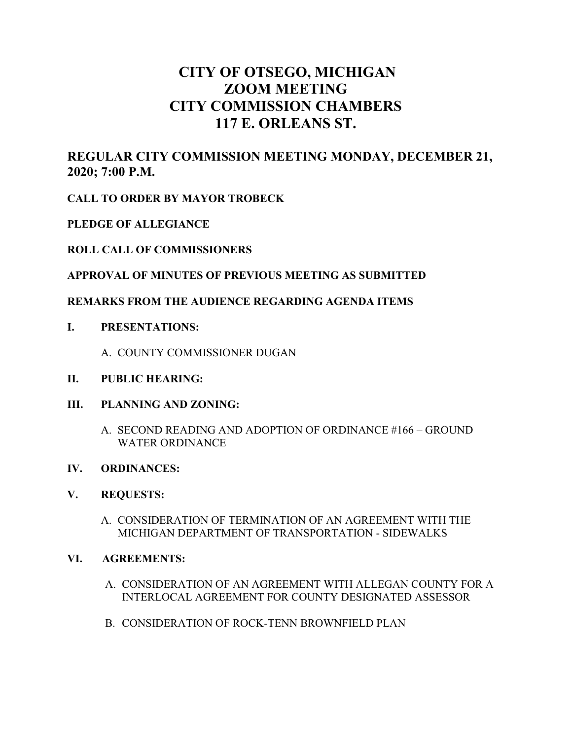# **CITY OF OTSEGO, MICHIGAN ZOOM MEETING CITY COMMISSION CHAMBERS 117 E. ORLEANS ST.**

# **REGULAR CITY COMMISSION MEETING MONDAY, DECEMBER 21, 2020; 7:00 P.M.**

**CALL TO ORDER BY MAYOR TROBECK**

**PLEDGE OF ALLEGIANCE**

# **ROLL CALL OF COMMISSIONERS**

# **APPROVAL OF MINUTES OF PREVIOUS MEETING AS SUBMITTED**

# **REMARKS FROM THE AUDIENCE REGARDING AGENDA ITEMS**

- **I. PRESENTATIONS:**
	- A. COUNTY COMMISSIONER DUGAN
- **II. PUBLIC HEARING:**
- **III. PLANNING AND ZONING:**
	- A. SECOND READING AND ADOPTION OF ORDINANCE #166 GROUND WATER ORDINANCE

# **IV. ORDINANCES:**

#### **V. REQUESTS:**

A. CONSIDERATION OF TERMINATION OF AN AGREEMENT WITH THE MICHIGAN DEPARTMENT OF TRANSPORTATION - SIDEWALKS

#### **VI. AGREEMENTS:**

- A. CONSIDERATION OF AN AGREEMENT WITH ALLEGAN COUNTY FOR A INTERLOCAL AGREEMENT FOR COUNTY DESIGNATED ASSESSOR
- B. CONSIDERATION OF ROCK-TENN BROWNFIELD PLAN